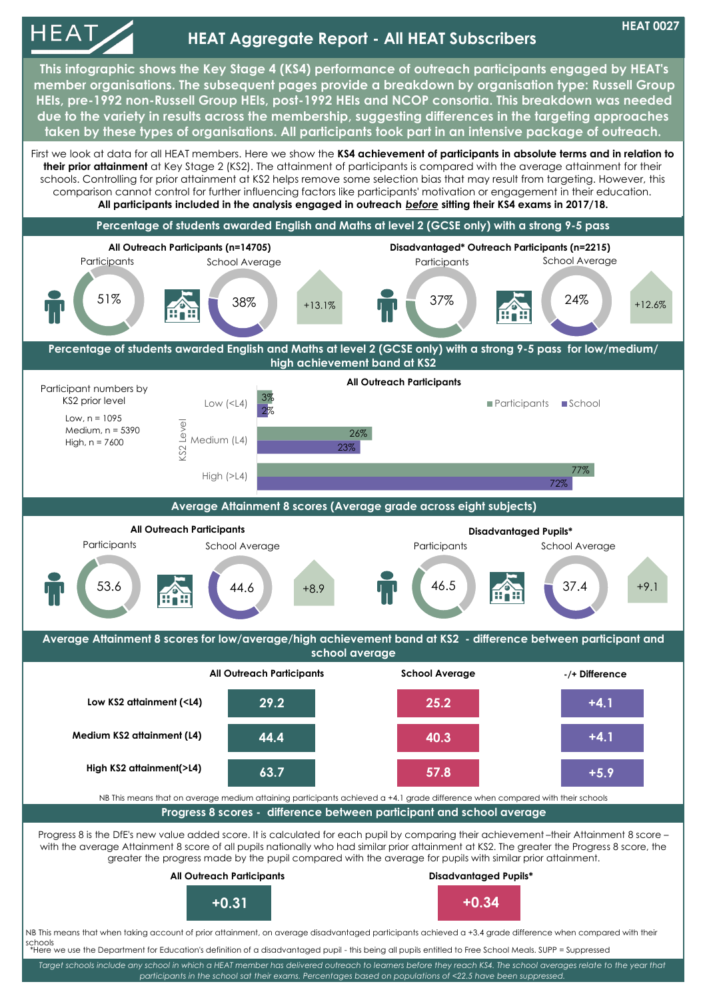

*Target schools include any school in which a HEAT member has delivered outreach to learners before they reach KS4. The school averages relate to the year that participants in the school sat their exams. Percentages based on populations of <22.5 have been suppressed.*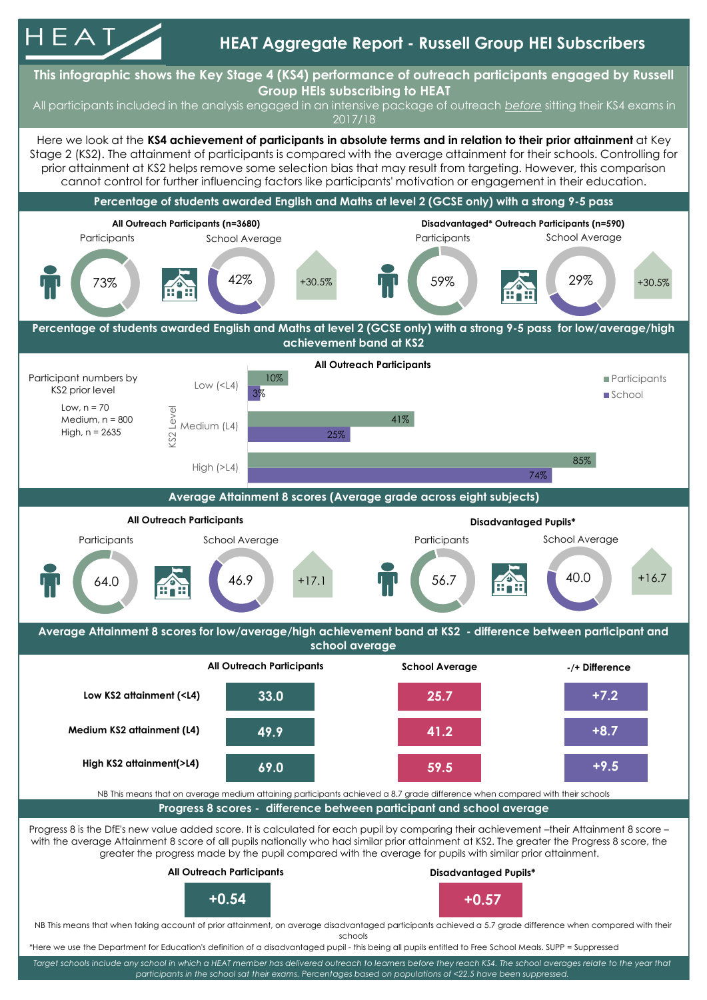

*participants in the school sat their exams. Percentages based on populations of <22.5 have been suppressed.*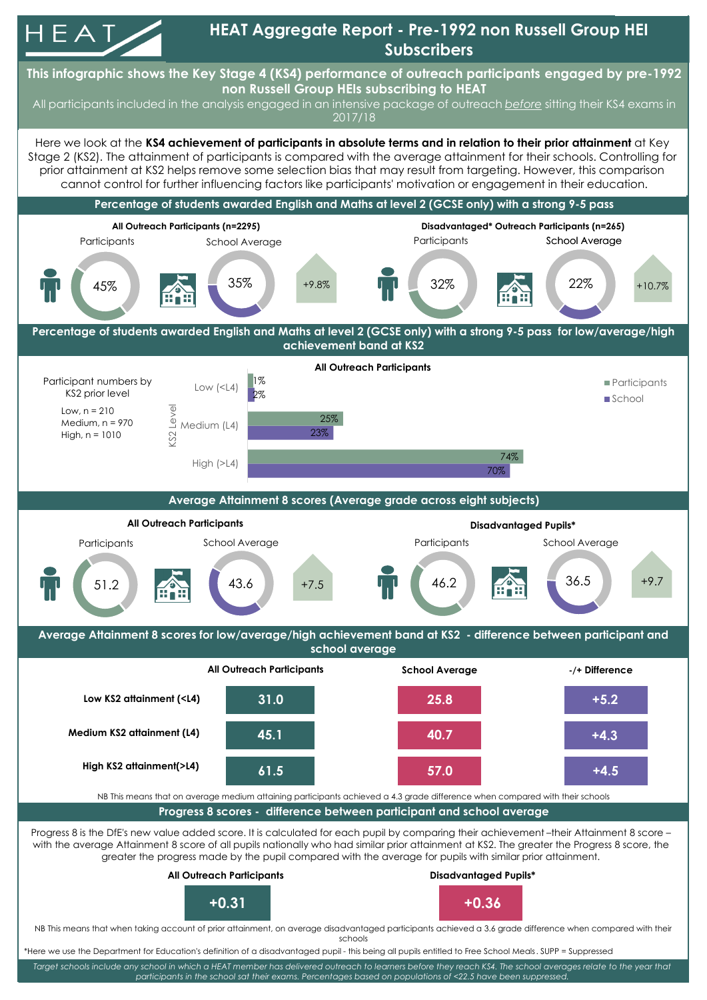

*Target schools include any school in which a HEAT member has delivered outreach to learners before they reach KS4. The school averages relate to the year that participants in the school sat their exams. Percentages based on populations of <22.5 have been suppressed.*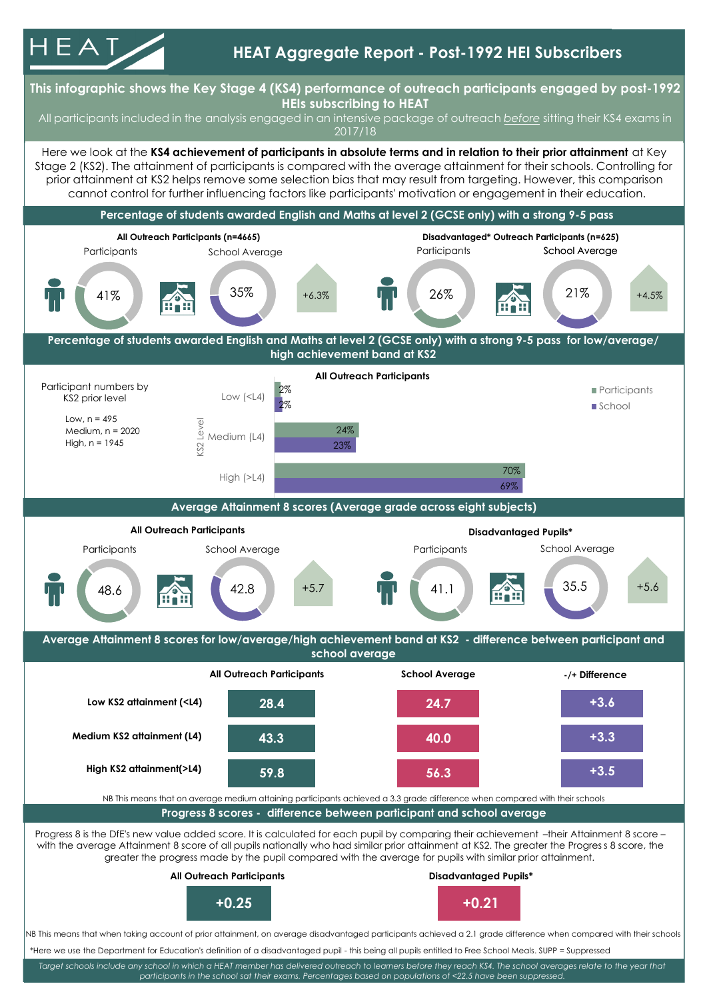



*Target schools include any school in which a HEAT member has delivered outreach to learners before they reach KS4. The school averages relate to the year that participants in the school sat their exams. Percentages based on populations of <22.5 have been suppressed.*

**Average Attainment 8 scores for low/average/high achievement band at KS2 - difference between participant and school average**

48.6 42.8

High (>L4)

**Average Attainment 8 scores (Average grade across eight subjects)**

**All Outreach Participants Disadvantaged Pupils\***

Participants School Average **Participants** School Average Participants School Average

 $+5.7$   $\blacksquare$   $\blacksquare$   $\blacksquare$   $\blacksquare$   $\blacksquare$   $\blacksquare$   $\blacksquare$   $\blacksquare$   $\blacksquare$   $\blacksquare$   $\blacksquare$   $\blacksquare$   $\blacksquare$   $\blacksquare$   $\blacksquare$   $\blacksquare$   $\blacksquare$   $\blacksquare$   $\blacksquare$   $\blacksquare$   $\blacksquare$   $\blacksquare$   $\blacksquare$   $\blacksquare$   $\blacksquare$   $\blacksquare$   $\blacksquare$   $\blacksquare$   $\blacksquare$   $\blacksquare$   $\blacks$ 

69%